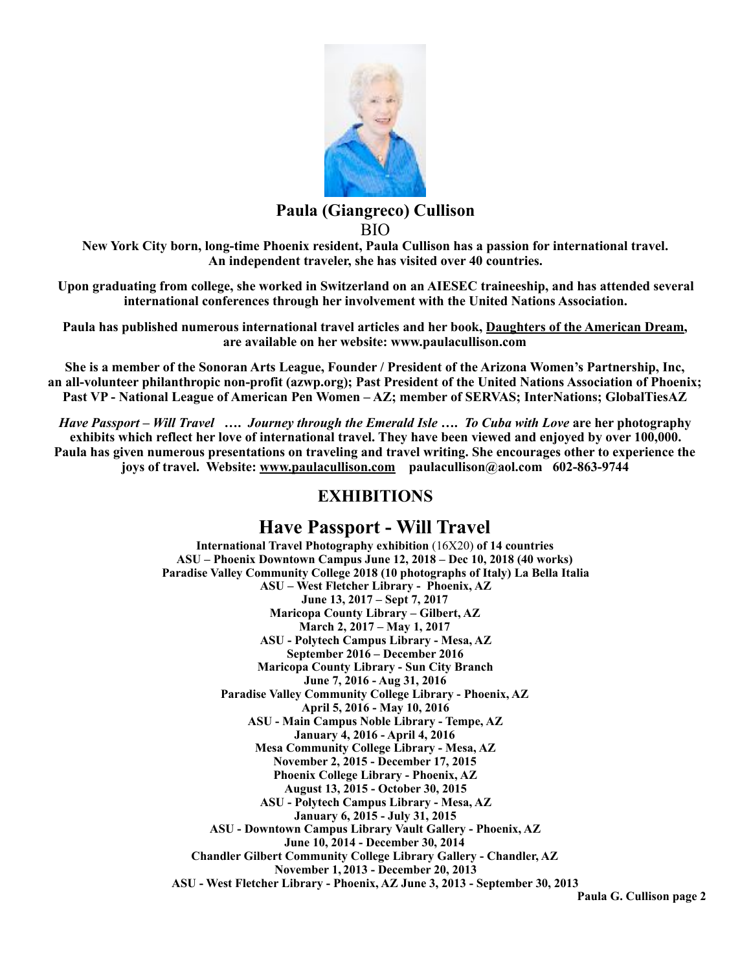

### **Paula (Giangreco) Cullison**  BIO

**New York City born, long-time Phoenix resident, Paula Cullison has a passion for international travel. An independent traveler, she has visited over 40 countries.** 

**Upon graduating from college, she worked in Switzerland on an AIESEC traineeship, and has attended several international conferences through her involvement with the United Nations Association.** 

**Paula has published numerous international travel articles and her book, Daughters of the American Dream, are available on her website: www.paulacullison.com** 

**She is a member of the Sonoran Arts League, Founder / President of the Arizona Women's Partnership, Inc, an all-volunteer philanthropic non-profit (azwp.org); Past President of the United Nations Association of Phoenix; Past VP - National League of American Pen Women – AZ; member of SERVAS; InterNations; GlobalTiesAZ** 

*Have Passport – Will Travel* **….** *Journey through the Emerald Isle* **….** *To Cuba with Love* **are her photography exhibits which reflect her love of international travel. They have been viewed and enjoyed by over 100,000. Paula has given numerous presentations on traveling and travel writing. She encourages other to experience the joys of travel. Website: [www.paulacullison.com](http://www.paulacullison.com) [paulacullison@aol.com](mailto:paulacullison@aol.com) 602-863-9744** 

### **EXHIBITIONS**

## **Have Passport - Will Travel**

**International Travel Photography exhibition** (16X20) **of 14 countries ASU – Phoenix Downtown Campus June 12, 2018 – Dec 10, 2018 (40 works) Paradise Valley Community College 2018 (10 photographs of Italy) La Bella Italia ASU – West Fletcher Library - Phoenix, AZ June 13, 2017 – Sept 7, 2017 Maricopa County Library – Gilbert, AZ March 2, 2017 – May 1, 2017 ASU - Polytech Campus Library - Mesa, AZ September 2016 – December 2016 Maricopa County Library - Sun City Branch June 7, 2016 - Aug 31, 2016 Paradise Valley Community College Library - Phoenix, AZ April 5, 2016 - May 10, 2016 ASU - Main Campus Noble Library - Tempe, AZ January 4, 2016 - April 4, 2016 Mesa Community College Library - Mesa, AZ November 2, 2015 - December 17, 2015 Phoenix College Library - Phoenix, AZ August 13, 2015 - October 30, 2015 ASU - Polytech Campus Library - Mesa, AZ January 6, 2015 - July 31, 2015 ASU - Downtown Campus Library Vault Gallery - Phoenix, AZ June 10, 2014 - December 30, 2014 Chandler Gilbert Community College Library Gallery - Chandler, AZ November 1, 2013 - December 20, 2013 ASU - West Fletcher Library - Phoenix, AZ June 3, 2013 - September 30, 2013** 

**Paula G. Cullison page 2**